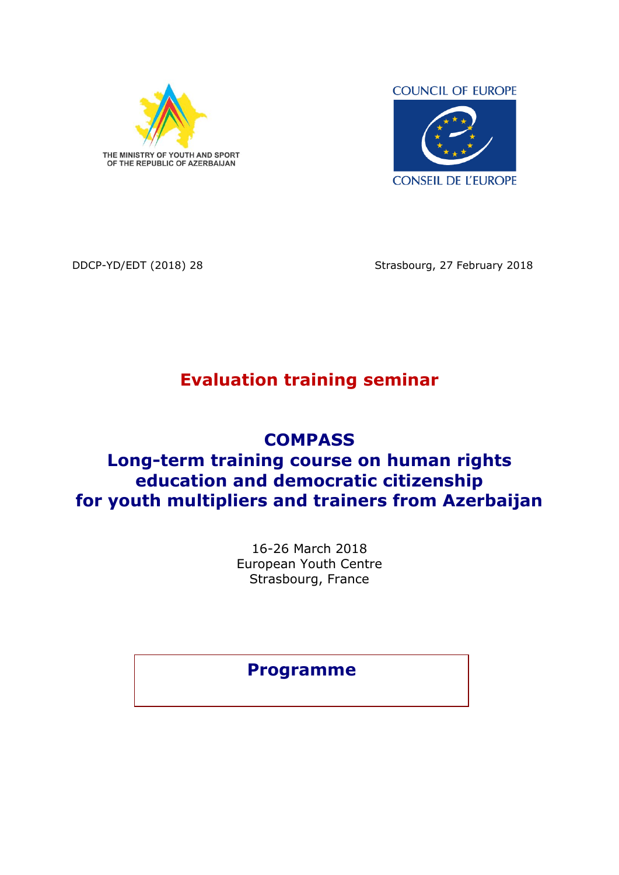

**COUNCIL OF EUROPE** 



DDCP-YD/EDT (2018) 28 Strasbourg, 27 February 2018

# **Evaluation training seminar**

# **COMPASS**

# **Long-term training course on human rights education and democratic citizenship for youth multipliers and trainers from Azerbaijan**

16-26 March 2018 European Youth Centre Strasbourg, France

## **Programme**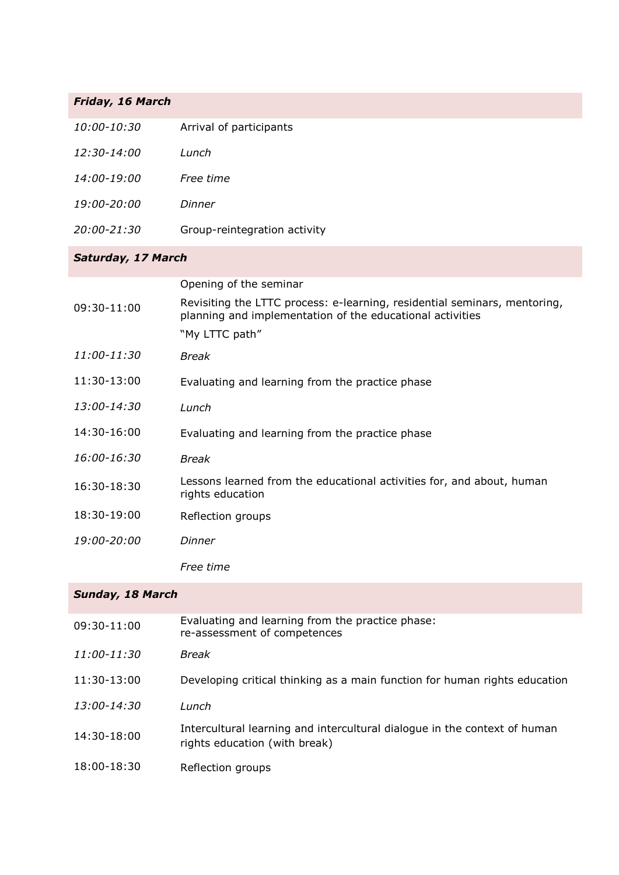### *Friday, 16 March*

| $10:00 - 10:30$ | Arrival of participants      |
|-----------------|------------------------------|
| 12:30-14:00     | Lunch                        |
| 14:00-19:00     | Free time                    |
| 19:00-20:00     | Dinner                       |
| 20:00-21:30     | Group-reintegration activity |

## *Saturday, 17 March*

|             | Opening of the seminar                                                                                                                 |
|-------------|----------------------------------------------------------------------------------------------------------------------------------------|
| 09:30-11:00 | Revisiting the LTTC process: e-learning, residential seminars, mentoring,<br>planning and implementation of the educational activities |
|             | "My LTTC path"                                                                                                                         |
| 11:00-11:30 | <b>Break</b>                                                                                                                           |
| 11:30-13:00 | Evaluating and learning from the practice phase                                                                                        |
| 13:00-14:30 | Lunch                                                                                                                                  |
| 14:30-16:00 | Evaluating and learning from the practice phase                                                                                        |
| 16:00-16:30 | <b>Break</b>                                                                                                                           |
| 16:30-18:30 | Lessons learned from the educational activities for, and about, human<br>rights education                                              |
| 18:30-19:00 | Reflection groups                                                                                                                      |
| 19:00-20:00 | Dinner                                                                                                                                 |
|             | <i>Free time</i>                                                                                                                       |

## *Sunday, 18 March*

| 09:30-11:00   | Evaluating and learning from the practice phase:<br>re-assessment of competences                           |
|---------------|------------------------------------------------------------------------------------------------------------|
| 11:00-11:30   | <b>Break</b>                                                                                               |
| $11:30-13:00$ | Developing critical thinking as a main function for human rights education                                 |
| 13:00-14:30   | Lunch                                                                                                      |
| 14:30-18:00   | Intercultural learning and intercultural dialogue in the context of human<br>rights education (with break) |
| 18:00-18:30   | Reflection groups                                                                                          |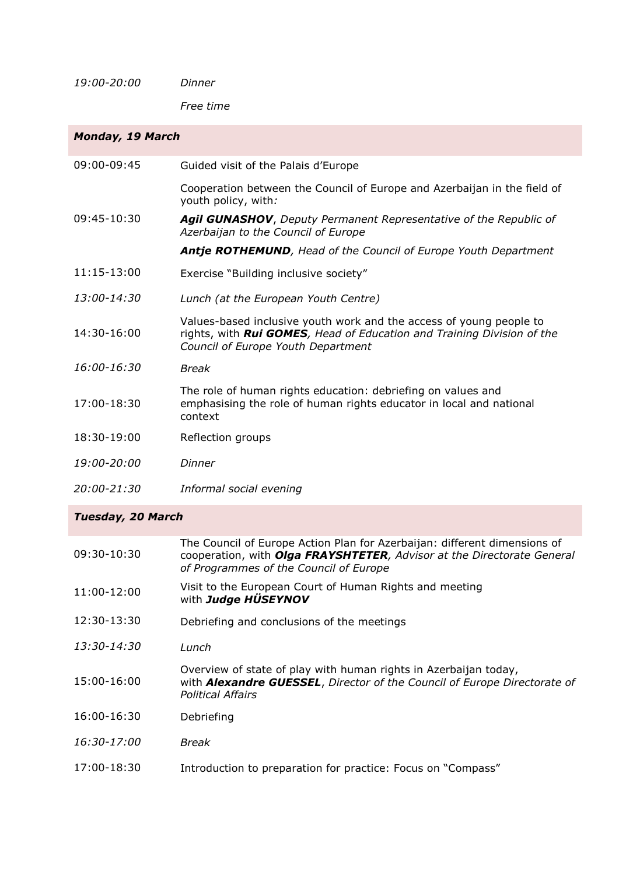*19:00-20:00 Dinner*

*Free time*

*Monday, 19 March* 09:00-09:45 Guided visit of the Palais d'Europe 09:45-10:30 Cooperation between the Council of Europe and Azerbaijan in the field of youth policy, with*: Agil GUNASHOV*, *Deputy Permanent Representative of the Republic of Azerbaijan to the Council of Europe Antje ROTHEMUND, Head of the Council of Europe Youth Department* 11:15-13:00 Exercise "Building inclusive society" *13:00-14:30 Lunch (at the European Youth Centre)* 14:30-16:00 Values-based inclusive youth work and the access of young people to rights, with *Rui GOMES, Head of Education and Training Division of the Council of Europe Youth Department 16:00-16:30 Break* 17:00-18:30 The role of human rights education: debriefing on values and emphasising the role of human rights educator in local and national context 18:30-19:00 Reflection groups *19:00-20:00 Dinner 20:00-21:30 Informal social evening*

#### *Tuesday, 20 March*

| 09:30-10:30 | The Council of Europe Action Plan for Azerbaijan: different dimensions of<br>cooperation, with <i>Olga FRAYSHTETER</i> , Advisor at the Directorate General<br>of Programmes of the Council of Europe |
|-------------|-------------------------------------------------------------------------------------------------------------------------------------------------------------------------------------------------------|
| 11:00-12:00 | Visit to the European Court of Human Rights and meeting<br>with Judge HÜSEYNOV                                                                                                                        |
| 12:30-13:30 | Debriefing and conclusions of the meetings                                                                                                                                                            |
| 13:30-14:30 | Lunch                                                                                                                                                                                                 |
| 15:00-16:00 | Overview of state of play with human rights in Azerbaijan today,<br>with <b>Alexandre GUESSEL</b> , Director of the Council of Europe Directorate of<br><b>Political Affairs</b>                      |
| 16:00-16:30 | Debriefing                                                                                                                                                                                            |
| 16:30-17:00 | <b>Break</b>                                                                                                                                                                                          |
| 17:00-18:30 | Introduction to preparation for practice: Focus on "Compass"                                                                                                                                          |
|             |                                                                                                                                                                                                       |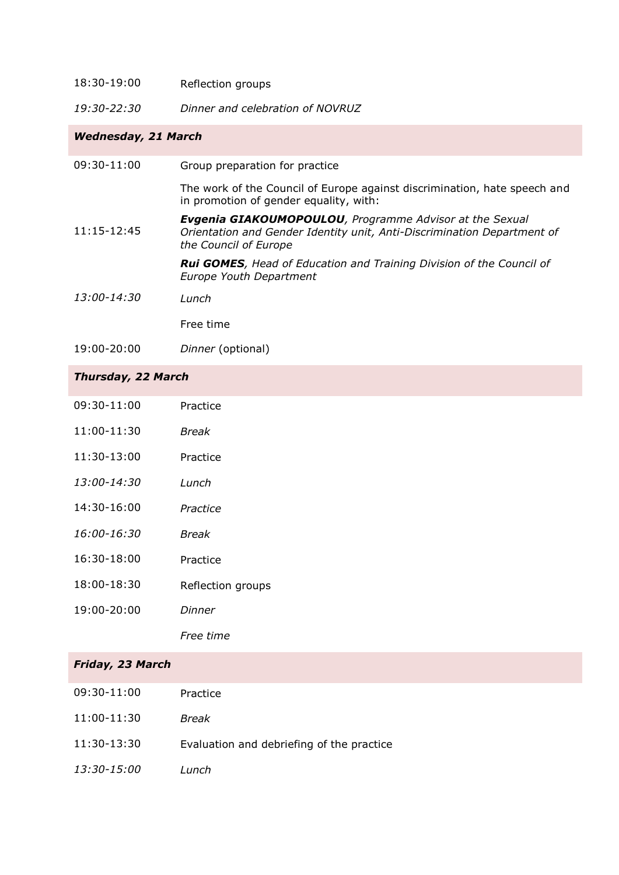| 18:30-19:00                | Reflection groups                                                                                                   |
|----------------------------|---------------------------------------------------------------------------------------------------------------------|
| 19:30-22:30                | Dinner and celebration of NOVRUZ                                                                                    |
| <b>Wednesday, 21 March</b> |                                                                                                                     |
| $09:30-11:00$              | Group preparation for practice                                                                                      |
|                            | The work of the Council of Europe against discrimination, hate speech and<br>in promotion of gender equality, with: |

- 11:15-12:45 *Evgenia GIAKOUMOPOULOU, Programme Advisor at the Sexual Orientation and Gender Identity unit, Anti-Discrimination Department of the Council of Europe Rui GOMES, Head of Education and Training Division of the Council of Europe Youth Department*
- *13:00-14:30 Lunch*

Free time

19:00-20:00 *Dinner* (optional)

#### *Thursday, 22 March*

| 09:30-11:00     | Practice          |
|-----------------|-------------------|
| 11:00-11:30     | Break             |
| 11:30-13:00     | Practice          |
| 13:00-14:30     | Lunch             |
| 14:30-16:00     | Practice          |
| $16:00 - 16:30$ | Break             |
| 16:30-18:00     | Practice          |
| 18:00-18:30     | Reflection groups |
| 19:00-20:00     | Dinner            |
|                 | Free time         |

### *Friday, 23 March*

| 09:30-11:00 | Practice                                  |
|-------------|-------------------------------------------|
| 11:00-11:30 | Break                                     |
| 11:30-13:30 | Evaluation and debriefing of the practice |
| 13:30-15:00 | Lunch                                     |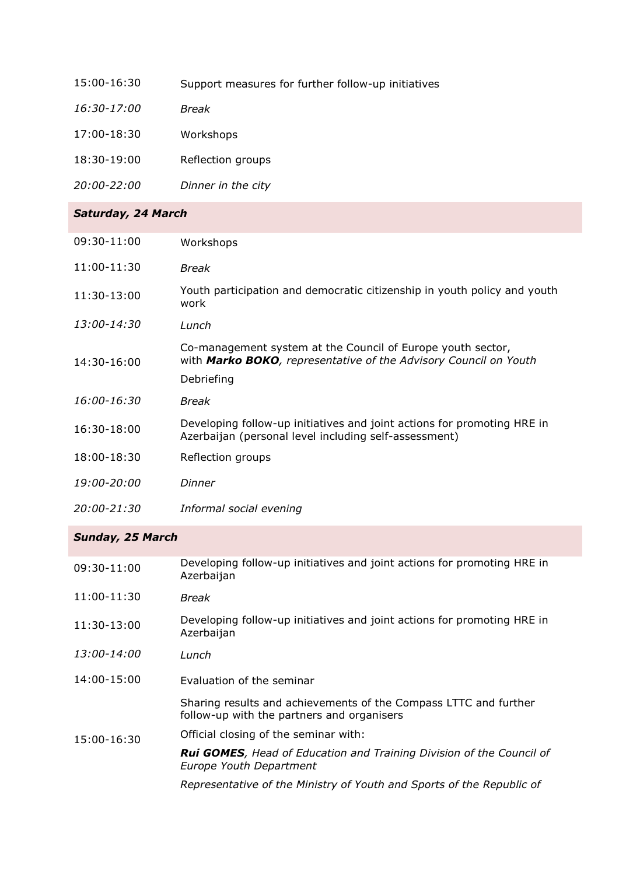| 15:00-16:30 | Support measures for further follow-up initiatives |
|-------------|----------------------------------------------------|
| 16:30-17:00 | <b>Break</b>                                       |
| 17:00-18:30 | Workshops                                          |
| 18:30-19:00 | Reflection groups                                  |
| 20:00-22:00 | Dinner in the city                                 |
|             |                                                    |

## *Saturday, 24 March*

| 09:30-11:00 | Workshops                                                                                                                        |
|-------------|----------------------------------------------------------------------------------------------------------------------------------|
| 11:00-11:30 | <b>Break</b>                                                                                                                     |
| 11:30-13:00 | Youth participation and democratic citizenship in youth policy and youth<br>work                                                 |
| 13:00-14:30 | Lunch                                                                                                                            |
| 14:30-16:00 | Co-management system at the Council of Europe youth sector,<br>with Marko BOKO, representative of the Advisory Council on Youth  |
|             | Debriefing                                                                                                                       |
| 16:00-16:30 | <b>Break</b>                                                                                                                     |
| 16:30-18:00 | Developing follow-up initiatives and joint actions for promoting HRE in<br>Azerbaijan (personal level including self-assessment) |
| 18:00-18:30 | Reflection groups                                                                                                                |
| 19:00-20:00 | Dinner                                                                                                                           |
| 20:00-21:30 | Informal social evening                                                                                                          |

## *Sunday, 25 March*

| 09:30-11:00 | Developing follow-up initiatives and joint actions for promoting HRE in<br>Azerbaijan                          |
|-------------|----------------------------------------------------------------------------------------------------------------|
| 11:00-11:30 | <b>Break</b>                                                                                                   |
| 11:30-13:00 | Developing follow-up initiatives and joint actions for promoting HRE in<br>Azerbaijan                          |
| 13:00-14:00 | Lunch                                                                                                          |
| 14:00-15:00 | Evaluation of the seminar                                                                                      |
| 15:00-16:30 | Sharing results and achievements of the Compass LTTC and further<br>follow-up with the partners and organisers |
|             | Official closing of the seminar with:                                                                          |
|             | Rui GOMES, Head of Education and Training Division of the Council of<br>Europe Youth Department                |
|             | Representative of the Ministry of Youth and Sports of the Republic of                                          |